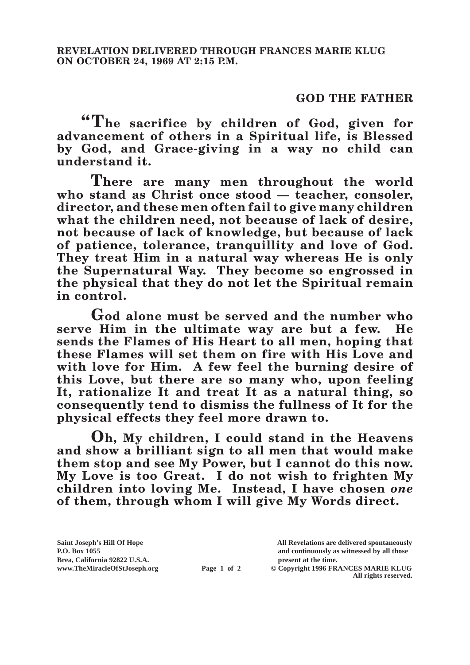## **GOD THE FATHER**

**"The sacrifice by children of God, given for advancement of others in a Spiritual life, is Blessed by God, and Grace-giving in a way no child can understand it.**

**There are many men throughout the world who stand as Christ once stood — teacher, consoler, director, and these men often fail to give many children what the children need, not because of lack of desire, not because of lack of knowledge, but because of lack of patience, tolerance, tranquillity and love of God. They treat Him in a natural way whereas He is only the Supernatural Way. They become so engrossed in the physical that they do not let the Spiritual remain in control.**

**God alone must be served and the number who serve Him in the ultimate way are but a few. He sends the Flames of His Heart to all men, hoping that these Flames will set them on fire with His Love and with love for Him. A few feel the burning desire of this Love, but there are so many who, upon feeling It, rationalize It and treat It as a natural thing, so consequently tend to dismiss the fullness of It for the physical effects they feel more drawn to.**

**Oh, My children, I could stand in the Heavens and show a brilliant sign to all men that would make them stop and see My Power, but I cannot do this now. My Love is too Great. I do not wish to frighten My children into loving Me. Instead, I have chosen** *one* **of them, through whom I will give My Words direct.**

**Saint Joseph's Hill Of Hope All Revelations are delivered spontaneously Brea, California 92822 U.S.A. present at the time.**<br> **present at the time.**<br> **present at the time.**<br> **present at the time.**<br> **present at the time.**<br> **present at the time.** 

**P.O. Box 1055 and continuously as witnessed by all those** 

**Page 1 of 2** © Copyright 1996 FRANCES MARIE KLUG **All rights reserved.**